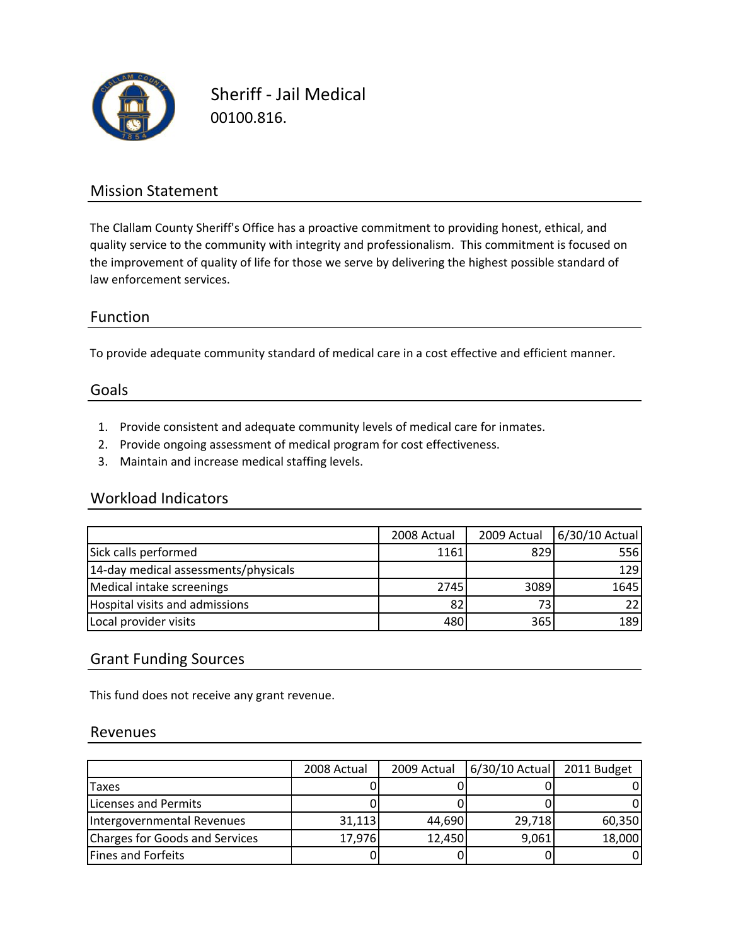

Sheriff ‐ Jail Medical 00100.816.

### Mission Statement

The Clallam County Sheriff's Office has a proactive commitment to providing honest, ethical, and quality service to the community with integrity and professionalism. This commitment is focused on the improvement of quality of life for those we serve by delivering the highest possible standard of law enforcement services.

### Function

To provide adequate community standard of medical care in a cost effective and efficient manner.

#### Goals

- 1. Provide consistent and adequate community levels of medical care for inmates.
- 2. Provide ongoing assessment of medical program for cost effectiveness.
- 3. Maintain and increase medical staffing levels.

### Workload Indicators

|                                      | 2008 Actual | 2009 Actual | 6/30/10 Actual |
|--------------------------------------|-------------|-------------|----------------|
| Sick calls performed                 | 1161        | 829         | 556            |
| 14-day medical assessments/physicals |             |             | <b>129</b>     |
| Medical intake screenings            | 2745        | 3089        | 1645           |
| Hospital visits and admissions       | 82          |             | 22.            |
| Local provider visits                | 480         | 365         | 189            |

### Grant Funding Sources

This fund does not receive any grant revenue.

#### Revenues

|                                | 2008 Actual | 2009 Actual | 6/30/10 Actual | 2011 Budget |
|--------------------------------|-------------|-------------|----------------|-------------|
| <b>Taxes</b>                   |             |             |                |             |
| Licenses and Permits           |             |             |                |             |
| Intergovernmental Revenues     | 31,113      | 44,690      | 29,718         | 60,350      |
| Charges for Goods and Services | 17,976      | 12,450      | 9,061          | 18,000      |
| Fines and Forfeits             |             |             |                |             |